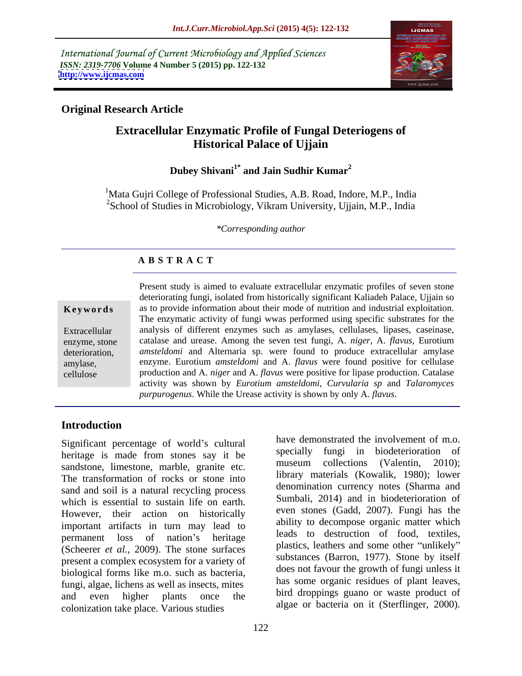International Journal of Current Microbiology and Applied Sciences *ISSN: 2319-7706* **Volume 4 Number 5 (2015) pp. 122-132 <http://www.ijcmas.com>**



## **Original Research Article**

# **Extracellular Enzymatic Profile of Fungal Deteriogens of Historical Palace of Ujjain**

## **Dubey Shivani1\* and Jain Sudhir Kumar<sup>2</sup>**

<sup>1</sup>Mata Gujri College of Professional Studies, A.B. Road, Indore, M.P., India <sup>2</sup>School of Studies in Microbiology, Vikram University, Ujjain, M.P., India

*\*Corresponding author*

# **A B S T R A C T**

cellulose

Present study is aimed to evaluate extracellular enzymatic profiles of seven stone deteriorating fungi, isolated from historically significant Kaliadeh Palace, Ujjain so as to provide information about their mode of nutrition and industrial exploitation. The enzymatic activity of fungi wwas performed using specific substrates for the Extracellular analysis of different enzymes such as amylases, cellulases, lipases, caseinase, enzyme, stone catalase and urease. Among the seven test fungi, A. *niger*, A. *flavus*, Eurotium deterioration, amsteldomi and Alternaria sp. were found to produce extracellular amylase enzyme. Eurotium *amsteldomi* and A. *flavus* were found positive for cellulase amylase, production and A. *niger* and A. *flavus* were positive for lipase production. Catalase activity was shown by *Eurotium amsteldomi*, *Curvularia sp* and *Talaromyces* **Extracellular** as to provide information about their mode of nutrition and industrial exploitation.<br>
The enzymatic activity of fungi wwas performed using specific substrates for the analysis of different enzymes such as a

# **Introduction**

Significant percentage of world's cultural have dem heritage is made from stones say it be specially rungi in biodeterioration of sandstone limetions marble graphe of museum collections (Valentin, 2010); sandstone, limestone, marble, granite etc. The transformation of rocks or stone into sand and soil is a natural recycling process which is essential to sustain life on earth. However, their action on historically important artifacts in turn may lead to (Scheerer *et al.*, 2009). The stone surfaces present a complex ecosystem for a variety of biological forms like m.o. such as bacteria, fungi, algae, lichens as well as insects, mites colonization take place. Various studies

permanent loss of nation's heritage and reads to destruction of 1000, textues, and even higher plants once the <sup>bird droppings guano or was te product of</sup> have demonstrated the involvement of m.o. fungi in biodeterioration of museum collections (Valentin, 2010); library materials (Kowalik, 1980); lower denomination currency notes (Sharma and Sumbali, 2014) and in biodeterioration of even stones (Gadd, 2007). Fungi has the ability to decompose organic matter which leads to destruction of food, textiles, plastics, leathers and some other "unlikely" substances (Barron, 1977). Stone by itself does not favour the growth of fungi unless it has some organic residues of plant leaves, bird droppings guano or waste product of algae or bacteria on it (Sterflinger, 2000).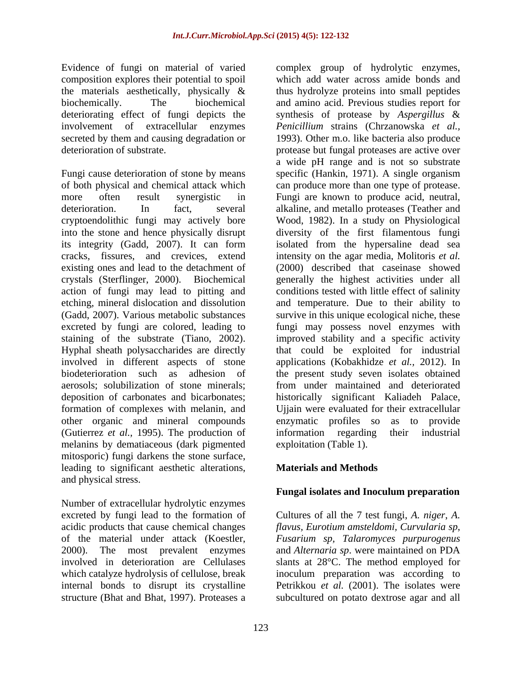Evidence of fungi on material of varied complex group of hydrolytic enzymes, the materials aesthetically, physically & deteriorating effect of fungi depicts the synthesis of protease by Aspergillus &

Fungi cause deterioration of stone by means specific (Hankin, 1971). A single organism of both physical and chemical attack which can produce more than one type of protease. more often result synergistic in Fungi are known to produce acid, neutral, deterioration. In fact, several alkaline, and metallo proteases (Teather and cryptoendolithic fungi may actively bore Wood, 1982). In a study on Physiological into the stone and hence physically disrupt its integrity (Gadd, 2007). It can form isolated from the hypersaline dead sea cracks, fissures, and crevices, extend intensity on the agar media, Molitoris *et al.* existing ones and lead to the detachment of crystals (Sterflinger, 2000). Biochemical generally the highest activities under all action of fungi may lead to pitting and conditions tested with little effect of salinity etching, mineral dislocation and dissolution and temperature. Due to their ability to (Gadd, 2007). Various metabolic substances survive in this unique ecological niche, these excreted by fungi are colored, leading to staining of the substrate (Tiano, 2002). improved stability and a specific activity Hyphal sheath polysaccharides are directly that could be exploited for industrial involved in different aspects of stone applications (Kobakhidze *et al.,* 2012). In biodeterioration such as adhesion of the present study seven isolates obtained aerosols; solubilization of stone minerals; from under maintained and deteriorated deposition of carbonates and bicarbonates; historically significant Kaliadeh Palace, formation of complexes with melanin, and Ujjain were evaluated for their extracellular other organic and mineral compounds (Gutierrez *et al.*, 1995). The production of information regarding their industrial melanins by dematiaceous (dark pigmented exploitation (Table 1). mitosporic) fungi darkens the stone surface, leading to significant aesthetic alterations, and physical stress.

Number of extracellular hydrolytic enzymes

composition explores their potential to spoil which add water across amide bonds and biochemically. The biochemical and amino acid. Previous studies report for involvement of extracellular enzymes *Penicillium* strains (Chrzanowska *et al.,* secreted by them and causing degradation or 1993). Other m.o. like bacteria also produce deterioration of substrate. protease but fungal proteases are active over thus hydrolyze proteins into small peptides synthesis of protease by *Aspergillus* & a wide pH range and is not so substrate diversity of the first filamentous fungi (2000) described that caseinase showed fungi may possess novel enzymes with enzymatic profiles so as to provide information regarding their industrial exploitation (Table 1).

# **Materials and Methods**

# **Fungal isolates and Inoculum preparation**

excreted by fungi lead to the formation of Cultures of all the 7 test fungi, *A. niger*, *A.*  acidic products that cause chemical changes *flavus, Eurotium amsteldomi, Curvularia sp*, of the material under attack (Koestler, *Fusarium sp, Talaromyces purpurogenus*  2000). The most prevalent enzymes and *Alternaria sp*. were maintained on PDA involved in deterioration are Cellulases slants at 28°C. The method employed for which catalyze hydrolysis of cellulose, break inoculum preparation was according to internal bonds to disrupt its crystalline Petrikkou *et al.* (2001). The isolates were structure (Bhat and Bhat, 1997). Proteases a subcultured on potato dextrose agar and all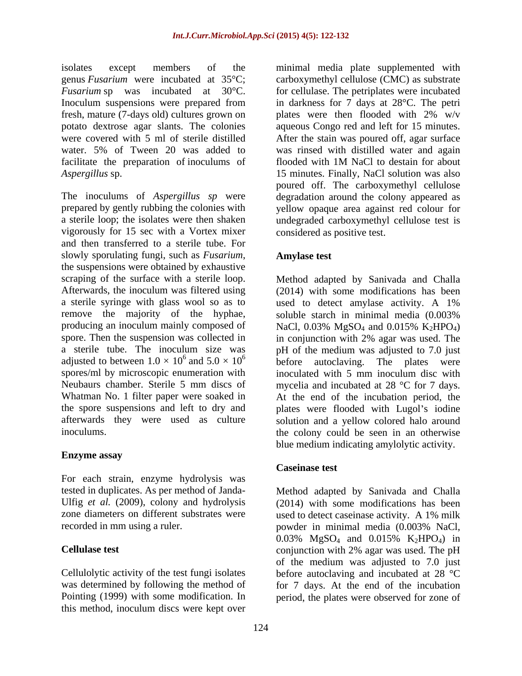fresh, mature (7-days old) cultures grown on blates were then flooded with 2% w/v potato dextrose agar slants. The colonies facilitate the preparation of inoculums of flooded with 1M NaCl to destain for about

The inoculums of *Aspergillus sp* were degradation around the colony appeared as prepared by gently rubbing the colonies with yellow opaque area against red colour for a sterile loop; the isolates were then shaken undegraded carboxymethyl cellulose test is vigorously for 15 sec with a Vortex mixer and then transferred to a sterile tube. For slowly sporulating fungi, such as *Fusarium*, **Amylase test** the suspensions were obtained by exhaustive scraping of the surface with a sterile loop. Method adapted by Sanivada and Challa Afterwards, the inoculum was filtered using (2014) with some modifications has been a sterile syringe with glass wool so as to used to detect amylase activity. A 1% remove the majority of the hyphae, soluble starch in minimal media  $(0.003\%$ <br>producing an inoculum mainly composed of NaCl, 0.03% MgSO<sub>4</sub> and 0.015% K<sub>2</sub>HPO<sub>4</sub>) spore. Then the suspension was collected in in conjunction with 2% agar was used. The a sterile tube. The inoculum size was pH of the medium was adjusted to 7.0 just adjusted to between  $1.0 \times 10^6$  and  $5.0 \times 10^6$  before autoclaving. The plates were spores/ml by microscopic enumeration with inoculated with 5 mm inoculum disc with Neubaurs chamber. Sterile 5 mm discs of mycelia and incubated at 28 °C for 7 days. Whatman No. 1 filter paper were soaked in At the end of the incubation period, the the spore suspensions and left to dry and plates were flooded with Lugol's iodine afterwards they were used as culture solution and a yellow colored halo around

### **Enzyme assay**

For each strain, enzyme hydrolysis was recorded in mm using a ruler.<br>powder in minimal media (0.003% NaCl.

Pointing (1999) with some modification. In period, the plates were observed for zone ofthis method, inoculum discs were kept over

isolates except members of the minimal media plate supplemented with genus *Fusarium* were incubated at 35°C; carboxymethyl cellulose (CMC) as substrate *Fusarium* sp was incubated at 30°C. for cellulase. The petriplates were incubated Inoculum suspensions were prepared from in darkness for 7 days at 28°C. The petri were covered with 5 ml of sterile distilled After the stain was poured off, agar surface water. 5% of Tween 20 was added to was rinsed with distilled water and again *Aspergillus* sp. 15 minutes. Finally, NaCl solution was also plates were then flooded with 2% w/v aqueous Congo red and left for 15 minutes. flooded with 1M NaCl to destain for about poured off. The carboxymethyl cellulose considered as positive test.

### **Amylase test**

 $\frac{6}{5}$  and  $5.0 \times 10^6$  before sytechaving The plates were and  $5.0 \times 10^6$  before autoclaving. The plates were  $\frac{6}{2}$   $\frac{1}{2}$   $\frac{1}{2}$   $\frac{1}{2}$   $\frac{1}{2}$   $\frac{1}{2}$   $\frac{1}{2}$   $\frac{1}{2}$   $\frac{1}{2}$   $\frac{1}{2}$   $\frac{1}{2}$   $\frac{1}{2}$   $\frac{1}{2}$   $\frac{1}{2}$   $\frac{1}{2}$   $\frac{1}{2}$   $\frac{1}{2}$   $\frac{1}{2}$   $\frac{1}{2}$   $\frac{1}{2}$   $\frac{1}{2}$   $\frac{1}{2}$  inoculums. the colony could be seen in an otherwise used to detect amylase activity. A 1% soluble starch in minimal media (0.003% NaCl,  $0.03\%$  MgSO<sub>4</sub> and  $0.015\%$  K<sub>2</sub>HPO<sub>4</sub>) before autoclaving. The plates were blue medium indicating amylolytic activity.

### **Caseinase test**

tested in duplicates. As per method of Janda- Method adapted by Sanivada and Challa Ulfig *et al.* (2009), colony and hydrolysis (2014) with some modifications has been zone diameters on different substrates were used to detect caseinase activity. A 1% milk **Cellulase test** conjunction with 2% agar was used. The pH Cellulolytic activity of the test fungi isolates before autoclaving and incubated at 28 °C was determined by following the method of for 7 days. At the end of the incubation powder in minimal media (0.003% NaCl,  $0.03\%$  MgSO<sub>4</sub> and  $0.015\%$  K<sub>2</sub>HPO<sub>4</sub>) in of the medium was adjusted to 7.0 just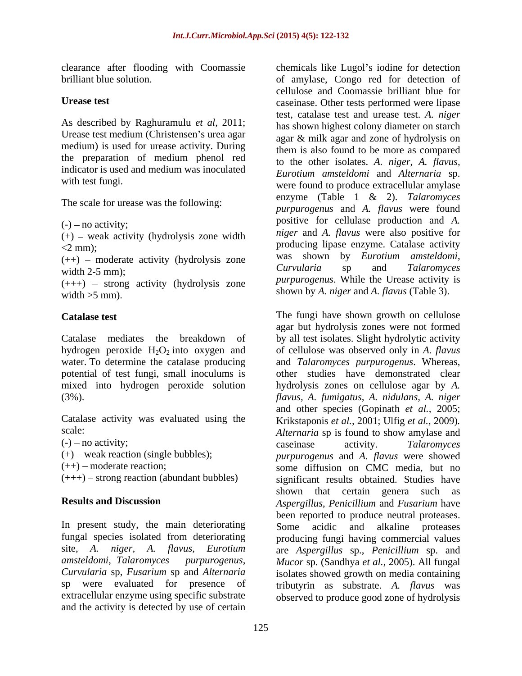As described by Raghuramulu *et al,* 2011; Urease test medium (Christensen's urea agar medium) is used for urease activity. During the preparation of medium phenol red indicator is used and medium was inoculated

The scale for urease was the following:

 $(+)$  – weak activity (hydrolysis zone width

 $(++)$  – moderate activity (hydrolysis zone was shown by *Eurotium amstellomi*,<br>Curvularia sp and *Talaromyces* 

(+++) strong activity (hydrolysis zone width >5 mm). shown by *A. niger* and *A. flavus* (Table 3).

In present study, the main deteriorating Some acidic and alkaline proteases site, *A. niger, A. flavus, Eurotium amsteldomi*, *Talaromyces purpurogenus*, extracellular enzyme using specific substrate observed to produce good zone of hydrolysis and the activity is detected by use of certain

clearance after flooding with Coomassie chemicals like Lugol's iodine for detection brilliant blue solution. of amylase, Congo red for detection of Urease test **CENEC CONSTRESS** Caseinase. Other tests performed were lipase with test fungi.<br>
were found to produce extracellular amylase (-) no activity; positive for cellulase production and *A.*  <2 mm); producing lipase enzyme. Catalase activity width 2-5 mm); Curvularia sp and *Lataromyces* example to the curvularia sp and *Lataromyces* cellulose and Coomassie brilliant blue for test, catalase test and urease test. *A. niger* has shown highest colony diameter on starch agar & milk agar and zone of hydrolysis on them is also found to be more as compared to the other isolates. *A. niger*, *A. flavus, Eurotium amsteldomi* and *Alternaria* sp. enzyme (Table 1 & 2). *Talaromyces purpurogenus* and *A. flavus* were found *niger* and *A. flavus* were also positive for was shown by *Eurotium amsteldomi*, *Curvularia* sp and *Talaromyces purpurogenus*. While the Urease activity is

**Catalase test** The fungi have shown growth on cellulose Catalase mediates the breakdown of by all test isolates. Slight hydrolytic activity hydrogen peroxide H<sub>2</sub>O<sub>2</sub> into oxygen and of cellulose was observed only in *A. flavus* water. To determine the catalase producing and *Talaromyces purpurogenus*. Whereas, potential of test fungi, small inoculums is other studies have demonstrated clear mixed into hydrogen peroxide solution hydrolysis zones on cellulose agar by *A.*  (3%). *flavus, A. fumigatus, A. nidulans, A. niger* Catalase activity was evaluated using the Krikstaponis *et al.,* 2001; Ulfig *et al.,* 2009)*.* scale: *Alternaria* sp is found to show amylase and  $(-)$  no activity; caseinase activity. Talaromyces (+) weak reaction (single bubbles); *purpurogenus* and *A. flavus* were showed (++) moderate reaction; some diffusion on CMC media, but no (+++) strong reaction (abundant bubbles) significant results obtained. Studies have **Results and Discussion** *Aspergillus*, *Penicillium* and *Fusarium* have fungal species isolated from deteriorating producing fungi having commercial values *Curvularia* sp, *Fusarium* sp and *Alternaria*  isolates showed growth on media containing sp were evaluated for presence of tributyrin as substrate. *A. flavus* was agar but hydrolysis zones were not formed and other species (Gopinath *et al.,* 2005; caseinase activity. *Talaromyces*  shown that certain genera such as been reported to produce neutral proteases. Some acidic and alkaline proteases are *Aspergillus* sp., *Penicillium* sp. and *Mucor* sp. (Sandhya *et al.,* 2005). All fungal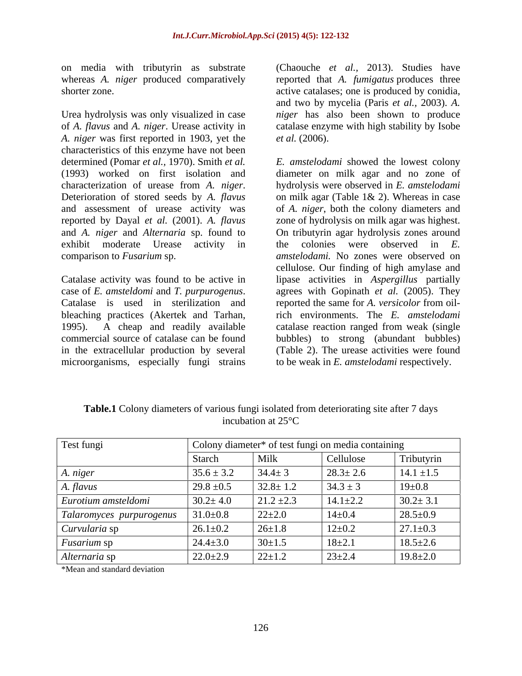Urea hydrolysis was only visualized in case *niger* has also been shown to produce of *A. flavus* and *A. niger*. Urease activity in catalase enzyme with high stability by Isobe *A. niger* was first reported in 1903, yet the characteristics of this enzyme have not been exhibit moderate Urease activity in the colonies were observed in E.

microorganisms, especially fungi strains

on media with tributyrin as substrate (Chaouche *et al.,* 2013). Studies have whereas *A. niger* produced comparatively reported that *A. fumigatus* produces three shorter zone. active catalases; one is produced by conidia, and two by mycelia (Paris *et al.,* 2003). *A. et al.* (2006).

determined (Pomar *et al.,* 1970). Smith *et al. E. amstelodami* showed the lowest colony (1993) worked on first isolation and diameter on milk agar and no zone of characterization of urease from *A. niger.* hydrolysis were observed in *E. amstelodami* Deterioration of stored seeds by *A. flavus* on milk agar (Table 1& 2). Whereas in case and assessment of urease activity was of *A. niger*, both the colony diameters and reported by Dayal *et al.* (2001). *A. flavus* zone of hydrolysis on milk agar was highest. and *A. niger* and *Alternaria* sp. found to On tributyrin agar hydrolysis zones around comparison to *Fusarium* sp. *amstelodami.* No zones were observed on Catalase activity was found to be active in lipase activities in *Aspergillus* partially case of *E. amsteldomi* and *T. purpurogenus*. agrees with Gopinath *et al.* (2005). They catalase is used in sterilization and reported the same for *A. versicolor* from oilbleaching practices (Akertek and Tarhan, rich environments. The *E. amstelodami* 1995). A cheap and readily available catalase reaction ranged from weak (single commercial source of catalase can be found bubbles) to strong (abundant bubbles) in the extracellular production by several (Table 2). The urease activities were found hydrolysis were observed in *E. amstelodami* on milk agar (Table 1& 2). Whereas in case the colonies were observed in *E.*  cellulose. Our finding of high amylase and agrees with Gopinath *et al.* (2005). They reported the same for *A. versicolor* from oilto be weak in *E. amstelodami* respectively.

| Test fungi               |                |                | Colony diameter* of test fungi on media containing |                |
|--------------------------|----------------|----------------|----------------------------------------------------|----------------|
|                          | Starch         | Milk           | Cellulose                                          | Tributyrin     |
| A. niger                 | $35.6 \pm 3.2$ | $34.4 \pm 3$   | $28.3 \pm 2.6$                                     | $14.1 \pm 1.5$ |
| A. flavus                | $29.8 \pm 0.5$ | $32.8 \pm 1.2$ | $34.3 \pm 3$                                       | $19 \pm 0.8$   |
| Eurotium amsteldomi      | $30.2 \pm 4.0$ | $21.2 \pm 2.3$ | $14.1 \pm 2.2$                                     | $30.2 \pm 3.1$ |
| Talaromyces purpurogenus | $31.0 \pm 0.8$ | $22 + 2.0$     | $14 \pm 0.4$                                       | $28.5 \pm 0.9$ |
| Curvularia sp            | $26.1 \pm 0.2$ | $26 \pm 1.8$   | $12 \pm 0.2$                                       | $27.1 \pm 0.3$ |
| Fusarium sp              | $24.4 \pm 3.0$ | $30 \pm 1.5$   | $18 \pm 2.1$                                       | $18.5 \pm 2.6$ |
| Alternaria sp            | $22.0 \pm 2.9$ | $22 \pm 1.2$   | $23 \pm 2.4$                                       | $19.8 \pm 2.0$ |

**Table.1** Colony diameters of various fungi isolated from deteriorating site after 7 days incubation at 25°C

\*Mean and standard deviation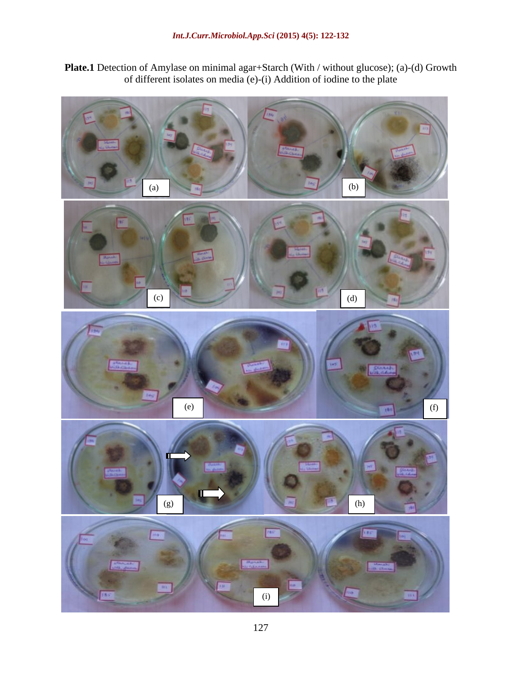**Plate.1** Detection of Amylase on minimal agar+Starch (With / without glucose); (a)-(d) Growth of different isolates on media (e)-(i) Addition of iodine to the plate

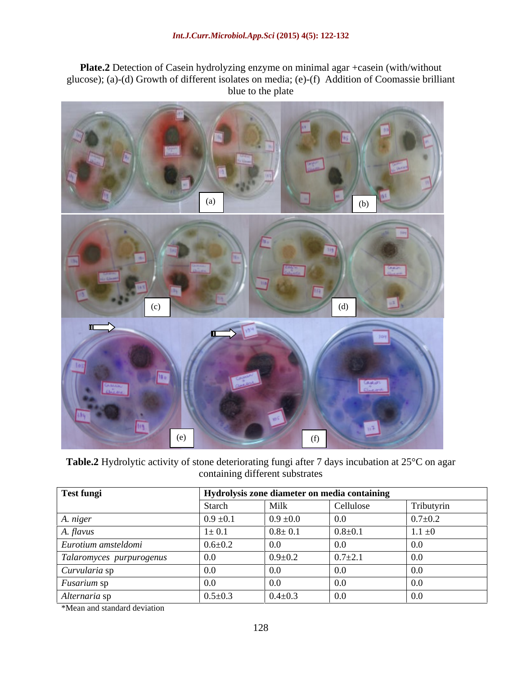**Plate.2** Detection of Casein hydrolyzing enzyme on minimal agar +casein (with/without glucose); (a)-(d) Growth of different isolates on media; (e)-(f) Addition of Coomassie brilliant blue to the plate state of the plate of the plate of the plate of the plate of the plate of the plate of the plate



Table.2 Hydrolytic activity of stone deteriorating fungi after 7 days incubation at 25°C on agar containing different substrates

| Test fungi               | Hydrolysis zone diameter on media containing |               |                              |             |
|--------------------------|----------------------------------------------|---------------|------------------------------|-------------|
|                          | Starch                                       | Milk          | Cellulose                    | Tributyrin  |
| A. niger                 | $0.9 \pm 0.1$                                | $0.9 \pm 0.0$ | 0.0                          | $0.7 + 0.2$ |
| A. flavus                | $1 \pm 0.1$                                  | $0.8 \pm 0.1$ | $0.8 \pm 0.1$                | $1.1 \pm 0$ |
| Eurotium amsteldomi      | $0.6 + 0.2$                                  | 0.0           | 0.0                          | 0.0         |
| Talaromyces purpurogenus | 0.0                                          | $0.9 \pm 0.2$ | $0.7 \pm 2.1$                | 0.0         |
| Curvularia sp            |                                              | 0.0           | 0.0                          | 0.0         |
| Fusarium sp              |                                              | 0.0           | 0.0                          | 0.0         |
| Alternaria sp            | $0.5 \pm 0.3$                                | $0.4 \pm 0.3$ | $\overline{\phantom{0}}$ 0.0 | 0.0         |

\*Mean and standard deviation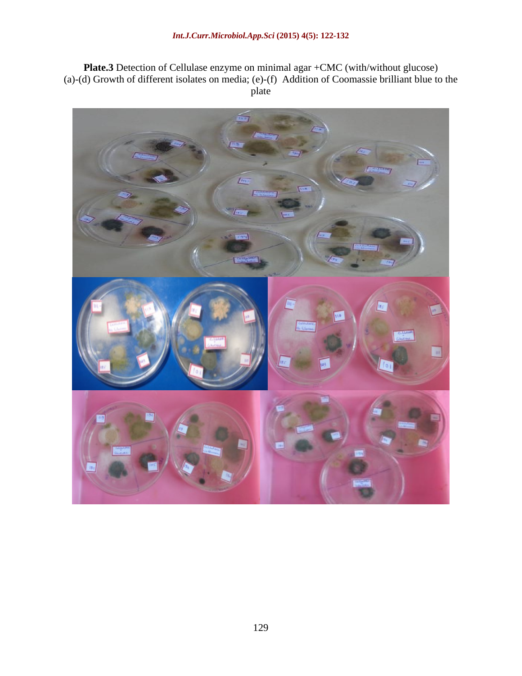**Plate.3** Detection of Cellulase enzyme on minimal agar +CMC (with/without glucose) (a)-(d) Growth of different isolates on media; (e)-(f) Addition of Coomassie brilliant blue to the plate

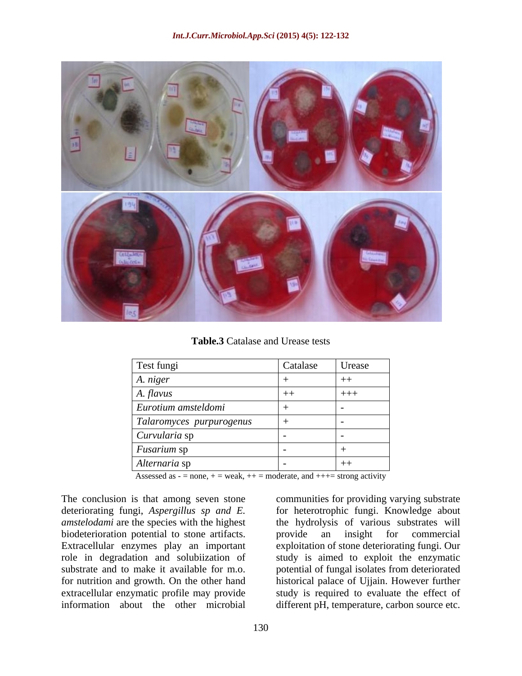

**Table.3** Catalase and Urease tests

| Test fungi               | Catalase | Urease |
|--------------------------|----------|--------|
| A. niger                 |          |        |
| A. flavus                |          | $+++$  |
| Eurotium amsteldomi      |          |        |
| Talaromyces purpurogenus |          |        |
| Curvularia sp            |          |        |
| <i>Fusarium</i> sp       |          |        |
| Alternaria sp            |          |        |

Assessed as  $-$  = none,  $+$  = weak,  $++$  = moderate, and  $++$  = strong activity

biodeterioration potential to stone artifacts. <br> provide an insight for commercial Extracellular enzymes play an important

The conclusion is that among seven stone communities for providing varying substrate deteriorating fungi, *Aspergillus sp and E.* for heterotrophic fungi. Knowledge about *amstelodami* are the species with the highest the hydrolysis of various substrates will role in degradation and solubiization of study is aimed to exploit the enzymatic substrate and to make it available for m.o. potential of fungal isolates from deteriorated for nutrition and growth. On the other hand historical palace of Ujjain. However further extracellular enzymatic profile may provide study is required to evaluate the effect of information about the other microbial different pH, temperature, carbon source etc. provide an insight for commercial exploitation of stone deteriorating fungi. Our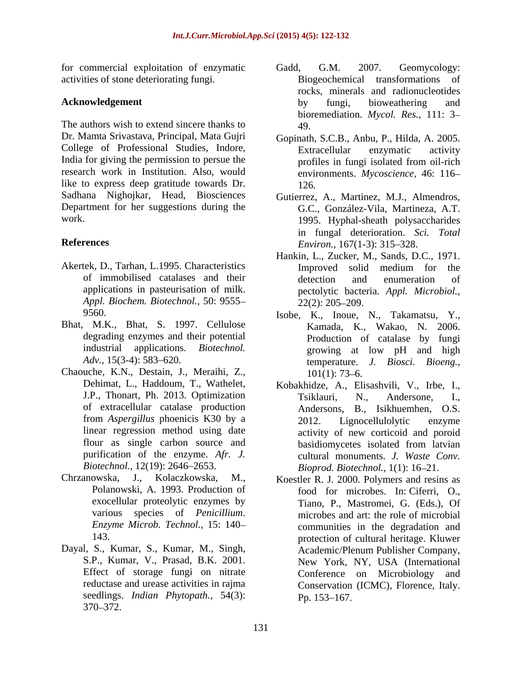for commercial exploitation of enzymatic Gadd, G.M. 2007. Geomycology: activities of stone deteriorating fungi.

The authors wish to extend sincere thanks to  $49$ . Dr. Mamta Srivastava, Principal, Mata Gujri Gopinath, S.C.B., Anbu, P., Hilda, A. 2005. College of Professional Studies, Indore, India for giving the permission to persue the profiles in fungi isolated from oil-rich research work in Institution. Also, would like to express deep gratitude towards Dr. 126. Sadhana Nighojkar, Head, Biosciences Gutierrez, A., Martinez, M.J., Almendros, Department for her suggestions during the

- Akertek, D., Tarhan, L.1995. Characteristics her improved solid medium for the *Appl. Biochem. Biotechnol.,* 50: 9555
- Bhat, M.K., Bhat, S. 1997. Cellulose
- Chaouche, K.N., Destain, J., Meraihi, Z.,  $101(1)$ : 73–6.<br>Dehimat, L., Haddoum, T., Wathelet, Kobakhidze, A., El
- 
- Dayal, S., Kumar, S., Kumar, M., Singh, Academic/Plenum Publisher Company. seedlings. *Indian Phytopath.,* 54(3): 370 372.
- **Acknowledgement** by fungi, bioweathering and Gadd, G.M. 2007. Geomycology: Biogeochemical transformations of rocks, minerals and radionucleotides by fungi, bioweathering and bioremediation. *Mycol. Res.,* 111: 3 49.
	- Extracellular enzymatic activity environments. *Mycoscience,* 46: 116 126.
- work. 1995. Hyphal-sheath polysaccharides **References** *Environ.*, 167(1-3): 315–328. G.C., González-Vila, Martineza, A.T. in fungal deterioration. *Sci. Total*
	- of immobilised catalases and their applications in pasteurisation of milk. pectolytic bacteria. *Appl. Microbiol.,* Hankin, L., Zucker, M., Sands, D.C., 1971. Improved solid medium for the detection and enumeration of 22(2): 205 209.
	- 9560. Isobe, K., Inoue, N., Takamatsu, Y., degrading enzymes and their potential Production of catalase by fungi industrial applications. *Biotechnol. Adv.,* 15(3-4): 583 620. temperature. *J. Biosci. Bioeng.,* Kamada, K., Wakao, N. 2006. growing at low pH and high  $101(1)$ : 73–6.
	- Dehimat, L., Haddoum, T., Wathelet, Kobakhidze, A., Elisashvili, V., Irbe, I., J.P., Thonart, Ph. 2013. Optimization Tsiklauri, N., Andersone, I., of extracellular catalase production Andersons, B., Isikhuemhen, O.S. from *Aspergillus* phoenicis K30 by a linear regression method using date activity of new corticoid and poroid flour as single carbon source and basidiomycetes isolated from latvian purification of the enzyme. Afr. *J.* cultural monuments. *J. Waste Conv. Biotechnol.,* 12(19): 2646 2653. *Bioprod. Biotechnol.,* 1(1): 16 21. Tsiklauri, N., Andersone, I., 2012. Lignocellulolytic enzyme basidiomycetes isolated from latvian
- Chrzanowska, J., Kolaczkowska, M., Koestler R. J. 2000. Polymers and resins as Polanowski, A. 1993. Production of food for microbes. In: Ciferri, O., exocellular proteolytic enzymes by Tiano, P., Mastromei, G. (Eds.), Of various species of *Penicillium*. microbes and art: the role of microbial *Enzyme Microb. Technol.,* 15: 140 communities in the degradation and 143. protection of cultural heritage. Kluwer S.P., Kumar, V., Prasad, B.K. 2001. New York, NY, USA (International Effect of storage fungi on nitrate Conference on Microbiology and reductase and urease activities in rajma Conservation (ICMC), Florence, Italy. Academic/Plenum Publisher Company, New York, NY, USA (International Pp.  $153 - 167$ .